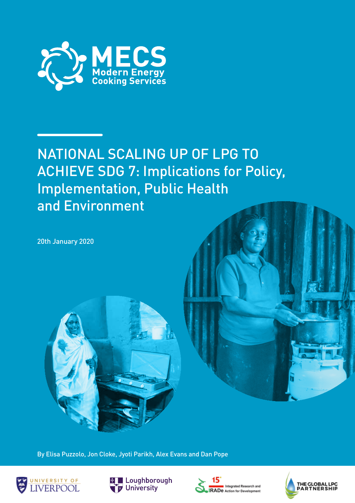

# NATIONAL SCALING UP OF LPG TO ACHIEVE SDG 7: Implications for Policy, Implementation, Public Health and Environment

20th January 2020



By Elisa Puzzolo, Jon Cloke, Jyoti Parikh, Alex Evans and Dan Pope







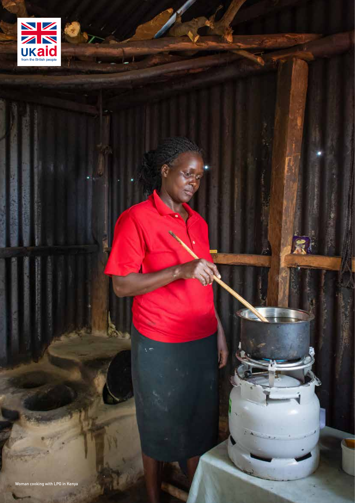

as ki

**KARET**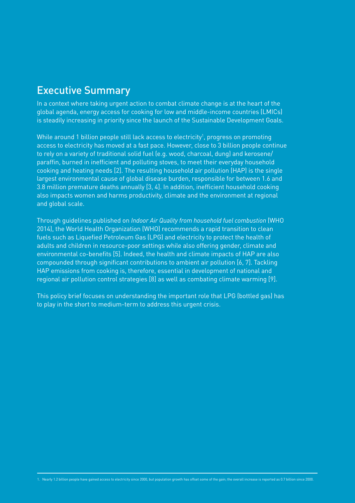### Executive Summary

In a context where taking urgent action to combat climate change is at the heart of the global agenda, energy access for cooking for low and middle-income countries (LMICs) is steadily increasing in priority since the launch of the Sustainable Development Goals.

While around 1 billion people still lack access to electricity<sup>1</sup>, progress on promoting access to electricity has moved at a fast pace. However, close to 3 billion people continue to rely on a variety of traditional solid fuel (e.g. wood, charcoal, dung) and kerosene/ paraffin, burned in inefficient and polluting stoves, to meet their everyday household cooking and heating needs [2]. The resulting household air pollution (HAP) is the single largest environmental cause of global disease burden, responsible for between 1.6 and 3.8 million premature deaths annually [3, 4]. In addition, inefficient household cooking also impacts women and harms productivity, climate and the environment at regional and global scale.

Through guidelines published on *Indoor Air Quality from household fuel combustion* (WHO 2014), the World Health Organization (WHO) recommends a rapid transition to clean fuels such as Liquefied Petroleum Gas (LPG) and electricity to protect the health of adults and children in resource-poor settings while also offering gender, climate and environmental co-benefits [5]. Indeed, the health and climate impacts of HAP are also compounded through significant contributions to ambient air pollution [6, 7]. Tackling HAP emissions from cooking is, therefore, essential in development of national and regional air pollution control strategies [8] as well as combating climate warming [9].

This policy brief focuses on understanding the important role that LPG (bottled gas) has to play in the short to medium-term to address this urgent crisis.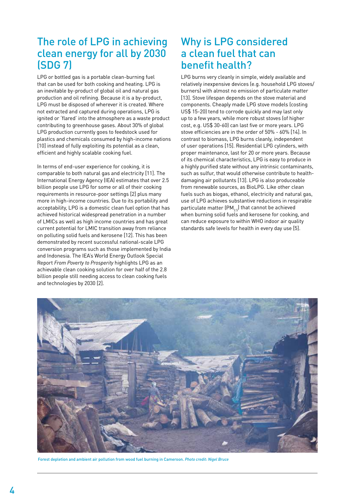### The role of LPG in achieving clean energy for all by 2030 (SDG 7)

LPG or bottled gas is a portable clean-burning fuel that can be used for both cooking and heating. LPG is an inevitable by-product of global oil and natural gas production and oil refining. Because it is a by-product, LPG must be disposed of wherever it is created. Where not extracted and captured during operations, LPG is ignited or 'flared' into the atmosphere as a waste product contributing to greenhouse gases. About 30% of global LPG production currently goes to feedstock used for plastics and chemicals consumed by high-income nations [10] instead of fully exploiting its potential as a clean, efficient and highly scalable cooking fuel.

In terms of end-user experience for cooking, it is comparable to both natural gas and electricity [11]. The International Energy Agency (IEA) estimates that over 2.5 billion people use LPG for some or all of their cooking requirements in resource-poor settings [2] plus many more in high-income countries. Due to its portability and acceptability, LPG is a domestic clean fuel option that has achieved historical widespread penetration in a number of LMICs as well as high income countries and has great current potential for LMIC transition away from reliance on polluting solid fuels and kerosene [12]. This has been demonstrated by recent successful national-scale LPG conversion programs such as those implemented by India and Indonesia. The IEA's World Energy Outlook Special Report *From Poverty to Prosperity* highlights LPG as an achievable clean cooking solution for over half of the 2.8 billion people still needing access to clean cooking fuels and technologies by 2030 [2].

#### Why is LPG considered a clean fuel that can benefit health?

LPG burns very cleanly in simple, widely available and relatively inexpensive devices (e.g. household LPG stoves/ burners) with almost no emission of particulate matter [13]. Stove lifespan depends on the stove material and components. Cheaply made LPG stove models (costing US\$ 15-20) tend to corrode quickly and may last only up to a few years, while more robust stoves (of higher cost, e.g. US\$ 30-60) can last five or more years. LPG stove efficiencies are in the order of 50% - 60% [14]. In contrast to biomass, LPG burns cleanly, independent of user operations [15]. Residential LPG cylinders, with proper maintenance, last for 20 or more years. Because of its chemical characteristics, LPG is easy to produce in a highly purified state without any intrinsic contaminants, such as sulfur, that would otherwise contribute to healthdamaging air pollutants [13]. LPG is also produceable from renewable sources, as BioLPG. Like other clean fuels such as biogas, ethanol, electricity and natural gas, use of LPG achieves substantive reductions in respirable particulate matter  $(PM_{2.5})$  that cannot be achieved when burning solid fuels and kerosene for cooking, and can reduce exposure to within WHO indoor air quality standards safe levels for health in every day use [5].



Forest depletion and ambient air pollution from wood fuel burning in Cameroon. *Photo credit: Nigel Bruce*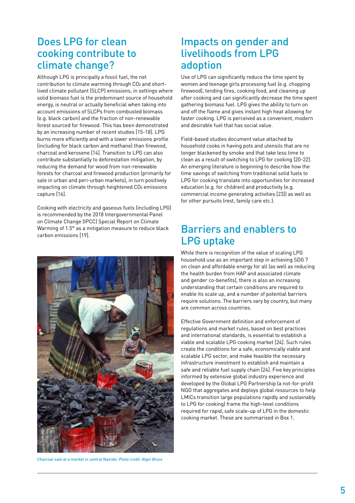#### Does LPG for clean cooking contribute to climate change?

Although LPG is principally a fossil fuel, the net contribution to climate warming through CO2 and shortlived climate pollutant (SLCP) emissions, in settings where solid biomass fuel is the predominant source of household energy, is neutral or actually beneficial when taking into account emissions of SLCPs from combusted biomass (e.g. black carbon) and the fraction of non-renewable forest sourced for firewood. This has been demonstrated by an increasing number of recent studies [15-18]. LPG burns more efficiently and with a lower emissions profile (including for black carbon and methane) than firewood, charcoal and kerosene [14]. Transition to LPG can also contribute substantially to deforestation mitigation, by reducing the demand for wood from non-renewable forests for charcoal and firewood production (primarily for sale in urban and peri-urban markets), in turn positively impacting on climate through heightened CO<sub>2</sub> emissions capture [16].

Cooking with electricity and gaseous fuels (including LPG) is recommended by the 2018 Intergovernmental Panel on Climate Change (IPCC) Special Report on Climate Warming of 1.5° as a mitigation measure to reduce black carbon emissions [19].



Charcoal sale at a market in central Nairobi. *Photo credit: Nigel Bruce*

#### Impacts on gender and livelihoods from LPG adoption

Use of LPG can significantly reduce the time spent by women and teenage girls processing fuel (e.g. chopping firewood), tending fires, cooking food, and cleaning up after cooking and can significantly decrease the time spent gathering biomass fuel. LPG gives the ability to turn on and off the flame and gives instant high heat allowing for faster cooking. LPG is perceived as a convenient, modern and desirable fuel that has social value.

Field-based studies document value attached by household cooks in having pots and utensils that are no longer blackened by smoke and that take less time to clean as a result of switching to LPG for cooking [20-22]. An emerging literature is beginning to describe how the time savings of switching from traditional solid fuels to LPG for cooking translate into opportunities for increased education (e.g. for children) and productivity (e.g. commercial income generating activities [23]) as well as for other pursuits (rest, family care etc.).

#### Barriers and enablers to LPG uptake

While there is recognition of the value of scaling LPG household use as an important step in achieving SDG 7 on clean and affordable energy for all (as well as reducing the health burden from HAP and associated climate and gender co-benefits), there is also an increasing understanding that certain conditions are required to enable its scale up, and a number of potential barriers require solutions. The barriers vary by country, but many are common across countries.

Effective Government definition and enforcement of regulations and market rules, based on best practices and international standards, is essential to establish a viable and scalable LPG cooking market [24]. Such rules create the conditions for a safe, economically viable and scalable LPG sector, and make feasible the necessary infrastructure investment to establish and maintain a safe and reliable fuel supply chain [24]. Five key principles informed by extensive global industry experience and developed by the Global LPG Partnership (a not-for-profit NGO that aggregates and deploys global resources to help LMICs transition large populations rapidly and sustainably to LPG for cooking) frame the high-level conditions required for rapid, safe scale-up of LPG in the domestic cooking market. These are summarised in Box 1.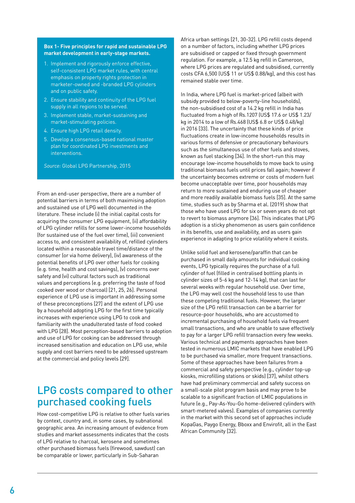#### **Box 1- Five principles for rapid and sustainable LPG market development in early-stage markets.**

- 1. Implement and rigorously enforce effective, self-consistent LPG market rules, with central emphasis on property rights protection in marketer-owned and -branded LPG cylinders and on public safety.
- 2. Ensure stability and continuity of the LPG fuel supply in all regions to be served.
- 3. Implement stable, market-sustaining and market-stimulating policies.
- 4. Ensure high LPG retail density.
- 5. Develop a consensus-based national master plan for coordinated LPG investments and interventions.

*Source:* Global LPG Partnership, 2015

From an end-user perspective, there are a number of potential barriers in terms of both maximising adoption and sustained use of LPG well documented in the literature. These include (i) the initial capital costs for acquiring the consumer LPG equipment, (ii) affordability of LPG cylinder refills for some lower-income households (for sustained use of the fuel over time), (iii) convenient access to, and consistent availability of, refilled cylinders located within a reasonable travel time/distance of the consumer (or via home delivery), (iv) awareness of the potential benefits of LPG over other fuels for cooking (e.g. time, health and cost savings), (v) concerns over safety and (vi) cultural factors such as traditional values and perceptions (e.g. preferring the taste of food cooked over wood or charcoal) [21, 25, 26]. Personal experience of LPG use is important in addressing some of these preconceptions [27] and the extent of LPG use by a household adopting LPG for the first time typically increases with experience using LPG to cook and familiarity with the unadulterated taste of food cooked with LPG [28]. Most perception-based barriers to adoption and use of LPG for cooking can be addressed through increased sensitisation and education on LPG use, while supply and cost barriers need to be addressed upstream at the commercial and policy levels [29].

### LPG costs compared to other purchased cooking fuels

How cost-competitive LPG is relative to other fuels varies by context, country and, in some cases, by subnational geographic area. An increasing amount of evidence from studies and market assessments indicates that the costs of LPG relative to charcoal, kerosene and sometimes other purchased biomass fuels (firewood, sawdust) can be comparable or lower, particularly in Sub-Saharan

Africa urban settings [21, 30-32]. LPG refill costs depend on a number of factors, including whether LPG prices are subsidised or capped or fixed through government regulation. For example, a 12.5 kg refill in Cameroon, where LPG prices are regulated and subsidised, currently costs CFA 6,500 (US\$ 11 or US\$ 0.88/kg), and this cost has remained stable over time.

In India, where LPG fuel is market-priced (albeit with subsidy provided to below-poverty-line households), the non-subsidised cost of a 14.2 kg refill in India has fluctuated from a high of Rs.1207 (US\$ 17.6 or US\$ 1.23/ kg in 2014 to a low of Rs.468 (US\$ 6.8 or US\$ 0.48/kg) in 2016 [33]. The uncertainty that these kinds of price fluctuations create in low-income households results in various forms of defensive or precautionary behaviours such as the simultaneous use of other fuels and stoves, known as fuel stacking [34]. In the short-run this may encourage low-income households to move back to using traditional biomass fuels until prices fall again; however if the uncertainty becomes extreme or costs of modern fuel become unacceptable over time, poor households may return to more sustained and enduring use of cheaper and more readily available biomass fuels [35]. At the same time, studies such as by Sharma et al. (2019) show that those who have used LPG for six or seven years do not opt to revert to biomass anymore [36]. This indicates that LPG adoption is a sticky phenomenon as users gain confidence in its benefits, use and availability, and as users gain experience in adapting to price volatility where it exists.

Unlike solid fuel and kerosene/paraffin that can be purchased in small daily amounts for individual cooking events, LPG typically requires the purchase of a full cylinder of fuel (filled in centralised bottling plants in cylinder sizes of 5-6 kg and 12-14 kg), that can last for several weeks with regular household use. Over time, the LPG may well cost the household less to use than these competing traditional fuels. However, the larger size of the LPG refill transaction can be a barrier for resource-poor households, who are accustomed to incremental purchasing of household fuels via frequent small transactions, and who are unable to save effectively to pay for a larger LPG refill transaction every few weeks. Various technical and payments approaches have been tested in numerous LMIC markets that have enabled LPG to be purchased via smaller, more frequent transactions. Some of these approaches have been failures from a commercial and safety perspective (e.g., cylinder top-up kiosks, microfilling stations or skids) [37], whilst others have had preliminary commercial and safety success on a small-scale pilot program basis and may prove to be scalable to a significant fraction of LMIC populations in future (e.g., Pay-As-You-Go home-delivered cylinders with smart-metered valves). Examples of companies currently in the market with this second set of approaches include KopaGas, Paygo Energy, Bboxx and Envirofit, all in the East African Community [32].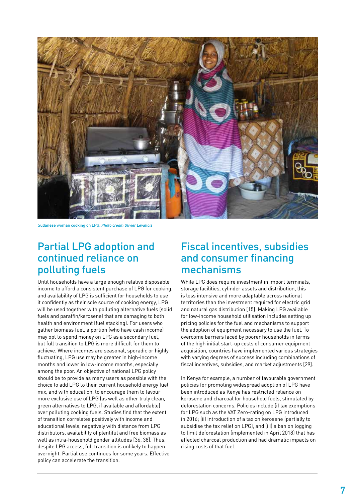

Sudanese woman cooking on LPG. *Photo credit: Olivier Levallois*

#### Partial LPG adoption and continued reliance on polluting fuels

Until households have a large enough relative disposable income to afford a consistent purchase of LPG for cooking, and availability of LPG is sufficient for households to use it confidently as their sole source of cooking energy, LPG will be used together with polluting alternative fuels (solid fuels and paraffin/kerosene) that are damaging to both health and environment (fuel stacking). For users who gather biomass fuel, a portion (who have cash income) may opt to spend money on LPG as a secondary fuel, but full transition to LPG is more difficult for them to achieve. Where incomes are seasonal, sporadic or highly fluctuating, LPG use may be greater in high-income months and lower in low-income months, especially among the poor. An objective of national LPG policy should be to provide as many users as possible with the choice to add LPG to their current household energy fuel mix, and with education, to encourage them to favour more exclusive use of LPG (as well as other truly clean, green alternatives to LPG, if available and affordable) over polluting cooking fuels. Studies find that the extent of transition correlates positively with income and educational levels, negatively with distance from LPG distributors, availability of plentiful and free biomass as well as intra-household gender attitudes [36, 38]. Thus, despite LPG access, full transition is unlikely to happen overnight. Partial use continues for some years. Effective policy can accelerate the transition.

### Fiscal incentives, subsidies and consumer financing mechanisms

While LPG does require investment in import terminals, storage facilities, cylinder assets and distribution, this is less intensive and more adaptable across national territories than the investment required for electric grid and natural gas distribution [15]. Making LPG available for low-income household utilisation includes setting up pricing policies for the fuel and mechanisms to support the adoption of equipment necessary to use the fuel. To overcome barriers faced by poorer households in terms of the high initial start-up costs of consumer equipment acquisition, countries have implemented various strategies with varying degrees of success including combinations of fiscal incentives, subsidies, and market adjustments [29].

In Kenya for example, a number of favourable government policies for promoting widespread adoption of LPG have been introduced as Kenya has restricted reliance on kerosene and charcoal for household fuels, stimulated by deforestation concerns. Policies include (i) tax exemptions for LPG such as the VAT Zero-rating on LPG introduced in 2016; (ii) introduction of a tax on kerosene (partially to subsidise the tax relief on LPG), and (iii) a ban on logging to limit deforestation (implemented in April 2018) that has affected charcoal production and had dramatic impacts on rising costs of that fuel.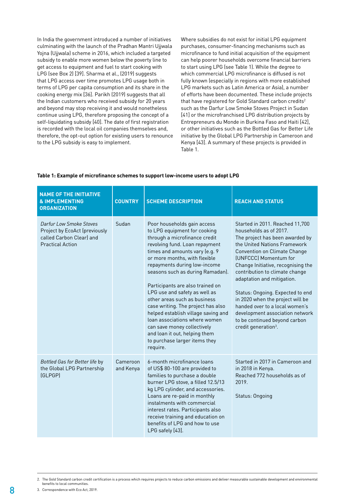In India the government introduced a number of initiatives culminating with the launch of the Pradhan Mantri Ujjwala Yojna (Ujjwala) scheme in 2016, which included a targeted subsidy to enable more women below the poverty line to get access to equipment and fuel to start cooking with LPG (see Box 2) [39]. Sharma et al., (2019) suggests that LPG access over time promotes LPG usage both in terms of LPG per capita consumption and its share in the cooking energy mix [36]. Parikh (2019) suggests that all the Indian customers who received subsidy for 20 years and beyond may stop receiving it and would nonetheless continue using LPG, therefore proposing the concept of a self-liquidating subsidy [40]. The date of first registration is recorded with the local oil companies themselves and, therefore, the opt-out option for existing users to renounce to the LPG subsidy is easy to implement.

Where subsidies do not exist for initial LPG equipment purchases, consumer-financing mechanisms such as microfinance to fund initial acquisition of the equipment can help poorer households overcome financial barriers to start using LPG (see Table 1). While the degree to which commercial LPG microfinance is diffused is not fully known (especially in regions with more established LPG markets such as Latin America or Asia), a number of efforts have been documented. These include projects that have registered for Gold Standard carbon credits<sup>2</sup> such as the Darfur Low Smoke Stoves Project in Sudan [41] or the microfranchised LPG distribution projects by Entrepreneurs du Monde in Burkina Faso and Haiti [42], or other initiatives such as the Bottled Gas for Better Life initiative by the Global LPG Partnership in Cameroon and Kenya [43]. A summary of these projects is provided in Table 1.

#### **Table 1: Example of microfinance schemes to support low-income users to adopt LPG**

| <b>NAME OF THE INITIATIVE</b><br><b>&amp; IMPLEMENTING</b><br><b>ORGANIZATION</b>                               | <b>COUNTRY</b> | <b>SCHEME DESCRIPTION</b>                                                                                                                                                                                                                                                                                                                                                                                                                                                                                                                                                                             | <b>REACH AND STATUS</b>                                                                                                                                                                                                                                                                                                                                                                                                                                                                                              |  |
|-----------------------------------------------------------------------------------------------------------------|----------------|-------------------------------------------------------------------------------------------------------------------------------------------------------------------------------------------------------------------------------------------------------------------------------------------------------------------------------------------------------------------------------------------------------------------------------------------------------------------------------------------------------------------------------------------------------------------------------------------------------|----------------------------------------------------------------------------------------------------------------------------------------------------------------------------------------------------------------------------------------------------------------------------------------------------------------------------------------------------------------------------------------------------------------------------------------------------------------------------------------------------------------------|--|
| Darfur Low Smoke Stoves<br>Project by EcoAct (previously<br>called Carbon Clear) and<br><b>Practical Action</b> | Sudan          | Poor households gain access<br>to LPG equipment for cooking<br>through a microfinance credit<br>revolving fund. Loan repayment<br>times and amounts vary (e.g. 9<br>or more months, with flexible<br>repayments during low-income<br>seasons such as during Ramadan).<br>Participants are also trained on<br>LPG use and safety as well as<br>other areas such as business<br>case writing. The project has also<br>helped establish village saving and<br>loan associations where women<br>can save money collectively<br>and loan it out, helping them<br>to purchase larger items they<br>require. | Started in 2011. Reached 11,700<br>households as of 2017.<br>The project has been awarded by<br>the United Nations Framework<br><b>Convention on Climate Change</b><br>(UNFCCC) Momentum for<br>Change Initiative, recognising the<br>contribution to climate change<br>adaptation and mitigation.<br>Status: Ongoing. Expected to end<br>in 2020 when the project will be<br>handed over to a local women's<br>development association network<br>to be continued beyond carbon<br>credit generation <sup>3</sup> . |  |
| Cameroon<br>Bottled Gas for Better life by<br>the Global LPG Partnership<br>and Kenya<br>(GLPGP)                |                | 6-month microfinance loans<br>of US\$ 80-100 are provided to<br>families to purchase a double<br>burner LPG stove, a filled 12.5/13<br>kg LPG cylinder, and accessories.<br>Loans are re-paid in monthly<br>instalments with commercial<br>interest rates. Participants also<br>receive training and education on<br>benefits of LPG and how to use<br>LPG safely [43].                                                                                                                                                                                                                               | Started in 2017 in Cameroon and<br>in 2018 in Kenya.<br>Reached 772 households as of<br>2019.<br>Status: Ongoing                                                                                                                                                                                                                                                                                                                                                                                                     |  |

2. The Gold Standard carbon credit certification is a process which requires projects to reduce carbon emissions and deliver measurable sustainable development and environmental benefits to local communities.

3. Correspondence with Eco Act, 2019.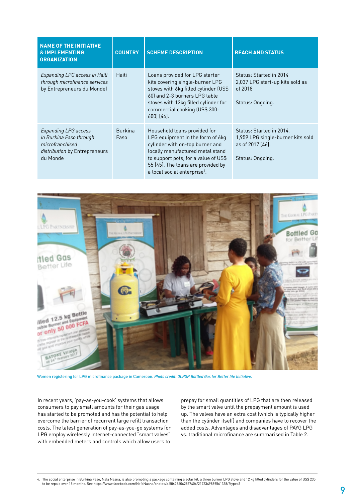| <b>NAME OF THE INITIATIVE</b><br><b>&amp; IMPLEMENTING</b><br><b>ORGANIZATION</b>                               | <b>COUNTRY</b>         | <b>SCHEME DESCRIPTION</b>                                                                                                                                                                                                                                         | <b>REACH AND STATUS</b>                                                                               |
|-----------------------------------------------------------------------------------------------------------------|------------------------|-------------------------------------------------------------------------------------------------------------------------------------------------------------------------------------------------------------------------------------------------------------------|-------------------------------------------------------------------------------------------------------|
| Expanding LPG access in Haiti<br>through microfinance services<br>by Entrepreneurs du Monde)                    | Haiti                  | Loans provided for LPG starter<br>kits covering single-burner LPG<br>stoves with 6kg filled cylinder (US\$<br>60) and 2-3 burners LPG table<br>stoves with 12kg filled cylinder for<br>commercial cooking (US\$ 300-<br>$600$ $[44]$ .                            | Status: Started in 2014<br>2,037 LPG start-up kits sold as<br>of 2018<br>Status: Ongoing.             |
| Expanding LPG access<br>in Burkina Faso through<br>microfranchised<br>distribution by Entrepreneurs<br>du Monde | <b>Burkina</b><br>Faso | Household loans provided for<br>LPG equipment in the form of 6kg<br>cylinder with on-top burner and<br>locally manufactured metal stand<br>to support pots, for a value of US\$<br>55 [45]. The loans are provided by<br>a local social enterprise <sup>4</sup> . | Status: Started in 2014.<br>1,959 LPG single-burner kits sold<br>as of 2017 [46].<br>Status: Ongoing. |



Women registering for LPG microfinance package in Cameroon. *Photo credit: GLPGP Bottled Gas for Better life Initiative.*

In recent years, 'pay-as-you-cook' systems that allows consumers to pay small amounts for their gas usage has started to be promoted and has the potential to help overcome the barrier of recurrent large refill transaction costs. The latest generation of pay-as-you-go systems for LPG employ wirelessly Internet-connected "smart valves" with embedded meters and controls which allow users to

prepay for small quantities of LPG that are then released by the smart valve until the prepayment amount is used up. The valves have an extra cost (which is typically higher than the cylinder itself) and companies have to recover the added costs. Advantages and disadvantages of PAYG LPG vs. traditional microfinance are summarised in Table 2.

4. The social enterprise in Burkina Faso, Nafa Naana, is also promoting a package containing a solar kit, a three burner LPG stove and 12 kg filled cylinders for the value of US\$ 235 to be repaid over 15 months. See https://www.facebook.com/NafaNaana/photos/a.506256062837404/2172349889561338/?type=3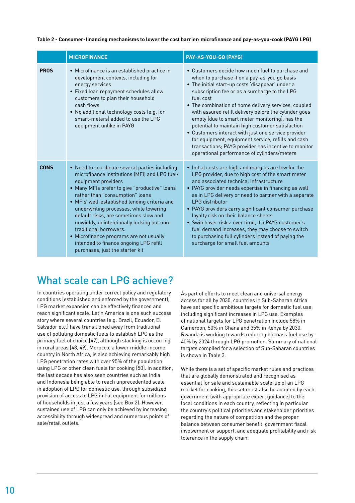| Table 2 - Consumer-financing mechanisms to lower the cost barrier: microfinance and pay-as-you-cook (PAYG LPG) |  |  |
|----------------------------------------------------------------------------------------------------------------|--|--|
|----------------------------------------------------------------------------------------------------------------|--|--|

|             | <b>MICROFINANCE</b>                                                                                                                                                                                                                                                                                                                                                                                                                                                                                                                            | PAY-AS-YOU-GO (PAYG)                                                                                                                                                                                                                                                                                                                                                                                                                                                                                                                                                                                                                                          |
|-------------|------------------------------------------------------------------------------------------------------------------------------------------------------------------------------------------------------------------------------------------------------------------------------------------------------------------------------------------------------------------------------------------------------------------------------------------------------------------------------------------------------------------------------------------------|---------------------------------------------------------------------------------------------------------------------------------------------------------------------------------------------------------------------------------------------------------------------------------------------------------------------------------------------------------------------------------------------------------------------------------------------------------------------------------------------------------------------------------------------------------------------------------------------------------------------------------------------------------------|
| <b>PROS</b> | • Microfinance is an established practice in<br>development contexts, including for<br>energy services<br>• Fixed loan repayment schedules allow<br>customers to plan their household<br>cash flows<br>• No additional technology costs (e.g. for<br>smart-meters) added to use the LPG<br>equipment unlike in PAYG                                                                                                                                                                                                                            | • Customers decide how much fuel to purchase and<br>when to purchase it on a pay-as-you go basis<br>• The initial start-up costs 'disappear' under a<br>subscription fee or as a surcharge to the LPG<br>fuel cost<br>• The combination of home delivery services, coupled<br>with assured refill delivery before the cylinder goes<br>empty (due to smart meter monitoring), has the<br>potential to maintain high customer satisfaction<br>• Customers interact with just one service provider<br>for equipment, equipment service, refills and cash<br>transactions; PAYG provider has incentive to monitor<br>operational performance of cylinders/meters |
| <b>CONS</b> | • Need to coordinate several parties including<br>microfinance institutions (MFI) and LPG fuel/<br>equipment providers<br>• Many MFIs prefer to give "productive" loans<br>rather than "consumption" loans<br>• MFIs' well-established lending criteria and<br>underwriting processes, while lowering<br>default risks, are sometimes slow and<br>unwieldy, unintentionally locking out non-<br>traditional borrowers.<br>• Microfinance programs are not usually<br>intended to finance ongoing LPG refill<br>purchases, just the starter kit | • Initial costs are high and margins are low for the<br>LPG provider, due to high cost of the smart meter<br>and associated technical infrastructure<br>• PAYG provider needs expertise in financing as well<br>as in LPG delivery or need to partner with a separate<br>I PG distributor<br>• PAYG providers carry significant consumer purchase<br>loyalty risk on their balance sheets<br>• Switchover risks: over time, if a PAYG customer's<br>fuel demand increases, they may choose to switch<br>to purchasing full cylinders instead of paying the<br>surcharge for small fuel amounts                                                                |

# What scale can LPG achieve?

In countries operating under correct policy and regulatory conditions (established and enforced by the government), LPG market expansion can be effectively financed and reach significant scale. Latin America is one such success story where several countries (e.g. Brazil, Ecuador, El Salvador etc.) have transitioned away from traditional use of polluting domestic fuels to establish LPG as the primary fuel of choice [47], although stacking is occurring in rural areas [48, 49]. Morocco, a lower middle-income country in North Africa, is also achieving remarkably high LPG penetration rates with over 95% of the population using LPG or other clean fuels for cooking [50]. In addition, the last decade has also seen countries such as India and Indonesia being able to reach unprecedented scale in adoption of LPG for domestic use, through subsidized provision of access to LPG initial equipment for millions of households in just a few years (see Box 2). However, sustained use of LPG can only be achieved by increasing accessibility through widespread and numerous points of sale/retail outlets.

As part of efforts to meet clean and universal energy access for all by 2030, countries in Sub-Saharan Africa have set specific ambitious targets for domestic fuel use, including significant increases in LPG use. Examples of national targets for LPG penetration include 58% in Cameroon, 50% in Ghana and 35% in Kenya by 2030. Rwanda is working towards reducing biomass fuel use by 40% by 2024 through LPG promotion. Summary of national targets compiled for a selection of Sub-Saharan countries is shown in Table 3.

While there is a set of specific market rules and practices that are globally demonstrated and recognised as essential for safe and sustainable scale-up of an LPG market for cooking, this set must also be adapted by each government (with appropriate expert guidance) to the local conditions in each country, reflecting in particular the country's political priorities and stakeholder priorities regarding the nature of competition and the proper balance between consumer benefit, government fiscal involvement or support, and adequate profitability and risk tolerance in the supply chain.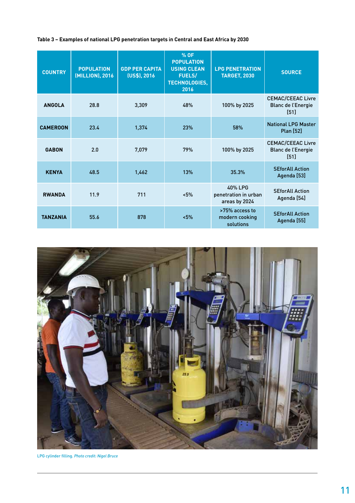#### **Table 3 – Examples of national LPG penetration targets in Central and East Africa by 2030**

| <b>COUNTRY</b>  | <b>POPULATION</b><br>(MILLION), 2016 | <b>GDP PER CAPITA</b><br>(US\$), 2016 | % OF<br><b>POPULATION</b><br><b>USING CLEAN</b><br><b>FUELS/</b><br><b>TECHNOLOGIES,</b><br>2016 | <b>LPG PENETRATION</b><br><b>TARGET, 2030</b>    | <b>SOURCE</b>                                                 |
|-----------------|--------------------------------------|---------------------------------------|--------------------------------------------------------------------------------------------------|--------------------------------------------------|---------------------------------------------------------------|
| <b>ANGOLA</b>   | 28.8                                 | 3,309                                 | 48%                                                                                              | 100% by 2025                                     | <b>CEMAC/CEEAC Livre</b><br><b>Blanc de l'Energie</b><br>[51] |
| <b>CAMEROON</b> | 23.4                                 | 1.374                                 | <b>23%</b>                                                                                       | 58%                                              | <b>National LPG Master</b><br>Plan [52]                       |
| <b>GABON</b>    | 2.0                                  | 7,079                                 | 79%                                                                                              | 100% by 2025                                     | <b>CEMAC/CEEAC Livre</b><br><b>Blanc de l'Energie</b><br>[51] |
| <b>KENYA</b>    | 48.5                                 | 1,462                                 | 13%                                                                                              | 35.3%                                            | <b>SEforAll Action</b><br>Agenda [53]                         |
| <b>RWANDA</b>   | 11.9                                 | 711                                   | 5%                                                                                               | 40% LPG<br>penetration in urban<br>areas by 2024 | <b>SEforAll Action</b><br>Agenda [54]                         |
| <b>TANZANIA</b> | 55.6                                 | 878                                   | 5%                                                                                               | >75% access to<br>modern cooking<br>solutions    | <b>SEforAll Action</b><br>Agenda [55]                         |



LPG cylinder filling. *Photo credit: Nigel Bruce*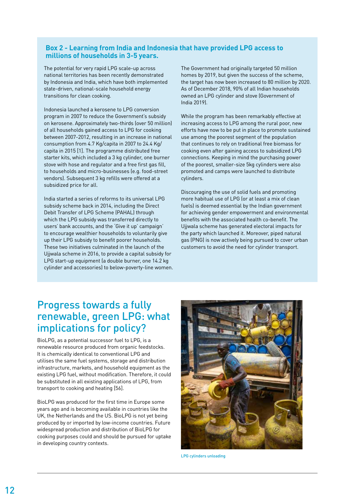#### **Box 2 - Learning from India and Indonesia that have provided LPG access to millions of households in 3-5 years.**

The potential for very rapid LPG scale-up across national territories has been recently demonstrated by Indonesia and India, which have both implemented state-driven, national-scale household energy transitions for clean cooking.

Indonesia launched a kerosene to LPG conversion program in 2007 to reduce the Government's subsidy on kerosene. Approximately two-thirds (over 50 million) of all households gained access to LPG for cooking between 2007-2012, resulting in an increase in national consumption from 4.7 Kg/capita in 2007 to 24.4 Kg/ capita in 2015 [1]. The programme distributed free starter kits, which included a 3 kg cylinder, one burner stove with hose and regulator and a free first gas fill, to households and micro-businesses (e.g. food-street vendors). Subsequent 3 kg refills were offered at a subsidized price for all.

India started a series of reforms to its universal LPG subsidy scheme back in 2014, including the Direct Debit Transfer of LPG Scheme (PAHAL) through which the LPG subsidy was transferred directly to users' bank accounts, and the 'Give it up' campaign' to encourage wealthier households to voluntarily give up their LPG subsidy to benefit poorer households. These two initiatives culminated in the launch of the Ujjwala scheme in 2016, to provide a capital subsidy for LPG start-up equipment (a double burner, one 14.2 kg cylinder and accessories) to below-poverty-line women. The Government had originally targeted 50 million homes by 2019, but given the success of the scheme, the target has now been increased to 80 million by 2020. As of December 2018, 90% of all Indian households owned an LPG cylinder and stove (Government of India 2019).

While the program has been remarkably effective at increasing access to LPG among the rural poor, new efforts have now to be put in place to promote sustained use among the poorest segment of the population that continues to rely on traditional free biomass for cooking even after gaining access to subsidized LPG connections. Keeping in mind the purchasing power of the poorest, smaller-size 5kg cylinders were also promoted and camps were launched to distribute cylinders.

Discouraging the use of solid fuels and promoting more habitual use of LPG (or at least a mix of clean fuels) is deemed essential by the Indian government for achieving gender empowerment and environmental benefits with the associated health co-benefit. The Ujjwala scheme has generated electoral impacts for the party which launched it. Moreover, piped natural gas (PNG) is now actively being pursued to cover urban customers to avoid the need for cylinder transport.

#### Progress towards a fully renewable, green LPG: what implications for policy?

BioLPG, as a potential successor fuel to LPG, is a renewable resource produced from organic feedstocks. It is chemically identical to conventional LPG and utilises the same fuel systems, storage and distribution infrastructure, markets, and household equipment as the existing LPG fuel, without modification. Therefore, it could be substituted in all existing applications of LPG, from transport to cooking and heating [56].

BioLPG was produced for the first time in Europe some years ago and is becoming available in countries like the UK, the Netherlands and the US. BioLPG is not yet being produced by or imported by low-income countries. Future widespread production and distribution of BioLPG for cooking purposes could and should be pursued for uptake in developing country contexts.



LPG cylinders unloading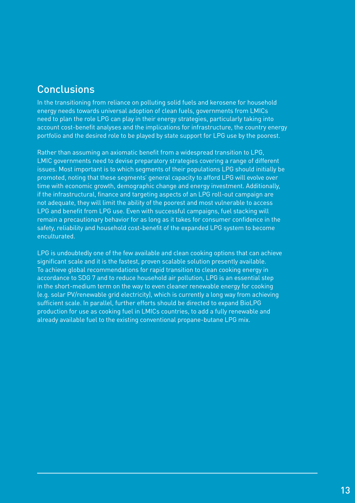### Conclusions

In the transitioning from reliance on polluting solid fuels and kerosene for household energy needs towards universal adoption of clean fuels, governments from LMICs need to plan the role LPG can play in their energy strategies, particularly taking into account cost-benefit analyses and the implications for infrastructure, the country energy portfolio and the desired role to be played by state support for LPG use by the poorest.

Rather than assuming an axiomatic benefit from a widespread transition to LPG, LMIC governments need to devise preparatory strategies covering a range of different issues. Most important is to which segments of their populations LPG should initially be promoted, noting that these segments' general capacity to afford LPG will evolve over time with economic growth, demographic change and energy investment. Additionally, if the infrastructural, finance and targeting aspects of an LPG roll-out campaign are not adequate, they will limit the ability of the poorest and most vulnerable to access LPG and benefit from LPG use. Even with successful campaigns, fuel stacking will remain a precautionary behavior for as long as it takes for consumer confidence in the safety, reliability and household cost-benefit of the expanded LPG system to become enculturated.

LPG is undoubtedly one of the few available and clean cooking options that can achieve significant scale and it is the fastest, proven scalable solution presently available. To achieve global recommendations for rapid transition to clean cooking energy in accordance to SDG 7 and to reduce household air pollution, LPG is an essential step in the short-medium term on the way to even cleaner renewable energy for cooking (e.g. solar PV/renewable grid electricity), which is currently a long way from achieving sufficient scale. In parallel, further efforts should be directed to expand BioLPG production for use as cooking fuel in LMICs countries, to add a fully renewable and already available fuel to the existing conventional propane-butane LPG mix.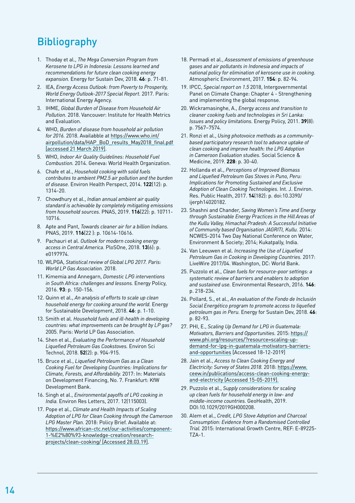# **Bibliography**

- 1. Thoday et al., *The Mega Conversion Program from Kerosene to LPG in Indonesia: Lessons learned and recommendations for future clean cooking energy expansion.* Energy for Sustain Dev, 2018. **46**: p. 71-81.
- 2. IEA, *Energy Access Outlook: from Poverty to Prosperity, World Energy Outlook-2017 Special Report.* 2017. Paris: International Energy Agency.
- 3. IHME, *Global Burden of Disease from Household Air Pollution.* 2018. Vancouver: Institute for Health Metrics and Evaluation.
- 4. WHO, *Burden of disease from household air pollution for 2016.* 2018. Availabble at https://www.who.int/ airpollution/data/HAP\_BoD\_results\_May2018\_final.pdf [accessed 21 March 2019].
- 5. WHO, *Indoor Air Quality Guidelines: Household Fuel Combustion.* 2014. Geneva: World Health Organization.
- 6. Chafe et al., *Household cooking with solid fuels contributes to ambient PM2.5 air pollution and the burden of disease.* Environ Health Perspect, 2014. **122**(12): p. 1314-20.
- 7. Chowdhury et al., *Indian annual ambient air quality standard is achievable by completely mitigating emissions from household sources.* PNAS, 2019. **116**(22): p. 10711- 10716.
- 8. Apte and Pant, *Towards cleaner air for a billion Indians.* PNAS, 2019. **116**(22 ): p. 10614-10616.
- 9. Pachauri et al. *Outlook for modern cooking energy access in Central America.* PloSOne, 2018. **13**(6): p.  $019797<sub>6</sub>$
- 10. WLPGA, *Statistical review of Global LPG 2017. Paris: World LP Gas Association.* 2018.
- 11. Kimemia and Annegarn, *Domestic LPG interventions in South Africa: challenges and lessons.* Energy Policy, 2016. **93**: p. 150-156.
- 12. Quinn et al., *An analysis of efforts to scale up clean household energy for cooking around the world.* Energy for Sustainable Development, 2018. **46**: p. 1-10.
- 13. Smith et al. *Household fuels and ill-health in developing countries: what improvements can be brought by LP gas?* 2005. Paris: World LP Gas Association.
- 14. Shen et al., *Evaluating the Performance of Household Liquefied Petroleum Gas Cookstoves.* Environ Sci Technol, 2018. **52**(2): p. 904-915.
- 15. Bruce et al., *Liquefied Petroleum Gas as a Clean Cooking Fuel for Developing Countries: Implications for Climate, Forests, and Affordability.* 2017: In: Materials on Development Financing, No. 7. Frankfurt: KfW Development Bank.
- 16. Singh et al., *Environmental payoffs of LPG cooking in India.* Environ Res Letters, 2017. 12(115003).
- 17. Pope et al., *Climate and Health Impacts of Scaling Adoption of LPG for Clean Cooking through the Cameroon LPG Master Plan.* 2018: Policy Brief. Available at: https://www.african-ctc.net/our-activities/component-1-%E2%80%93-knowledge-creation/researchprojects/clean-cooking/ [Accessed 28.03.19].
- 18. Permadi et al., *Assessment of emissions of greenhouse gases and air pollutants in Indonesia and impacts of national policy for elimination of kerosene use in cooking.* Atmospheric Environment, 2017. **154**: p. 82-94.
- 19. IPCC, *Special report on 1.5* 2018, Intergovernmental Panel on Climate Change: Chapter 4 - Strengthening and implementing the global response.
- 20. Wickramasinghe, A., *Energy access and transition to cleaner cooking fuels and technologies in Sri Lanka: Issues and policy limitations.* Energy Policy, 2011. **39**(8): p. 7567–7574.
- 21. Ronzi et al., *Using photovoice methods as a communitybased participatory research tool to advance uptake of clean cooking and improve health: the LPG Adoption in Cameroon Evaluation studies.* Social Science & Medicine, 2019. **228**: p. 30-40.
- 22. Hollanda et al., *Perceptions of Improved Biomass and Liquefied Petroleum Gas Stoves in Puno, Peru: Implications for Promoting Sustained and Exclusive Adoption of Clean Cooking Technologies.* Int. J. Environ. Res. Public Health, 2017. **14**(182): p. doi:10.3390/ ijerph14020182.
- 23. Shashni and Chander, *Saving Women's Time and Energy through Sustainable Energy Practices in the Hill Areas of the Kullu Valley, Himachal Pradesh: A Successful Initiative of Community based Organisation JAGRITI, Kullu.* 2014: NCWES-2014 Two Day National Conference on Water, Environment & Society; 2014; Kukatpally, India.
- 24. Van Leeuwen et al. *Increasing the Use of Liquefied Petroleum Gas in Cooking in Developing Countries.* 2017: LiveWire 2017/04. Washington, DC: World Bank.
- 25. Puzzolo et al., *Clean fuels for resource-poor settings: a systematic review of barriers and enablers to adoption and sustained use.* Environmental Research, 2016. **146**: p. 218-234.
- 26. Pollard, S., et al., *An evaluation of the Fondo de Inclusión Social Energético program to promote access to liquefied petroleum gas in Peru.* Energy for Sustain Dev, 2018. **46**: p. 82-93.
- 27. PHI, E., *Scaling Up Demand for LPG in Guatemala: Motivators, Barriers and Opportunities.* 2015: https:// www.phi.org/resources/?resource=scaling-updemand-for-lpg-in-guatemala-motivators-barriersand-opportunities [Accessed 18-12-2019]
- 28. Jain et al., *Access to Clean Cooking Energy and Electricity: Survey of States 2018.* 2018: https://www. ceew.in/publications/access-clean-cooking-energyand-electricity [Accessed 15-05-2019].
- 29. Puzzolo et al., *Supply considerations for scaling up clean fuels for household energy in low- and middle-income countries.* GeoHealth, 2019. DOI:10.1029/2019GH000208.
- 30. Alem et al., *Credit, LPG Stove Adoption and Charcoal Consumption: Evidence from a Randomised Controlled Trial.* 2015: International Growth Centre, REF: E-89225- TZA-1.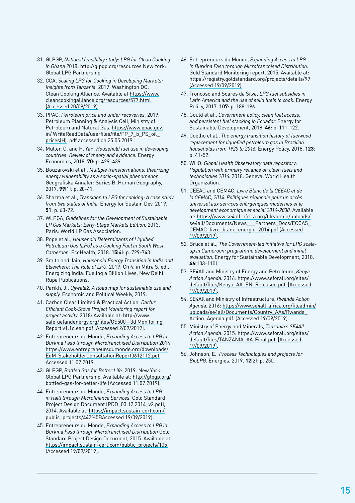- 31. GLPGP, *National feasibility study: LPG for Clean Cooking in Ghana* 2018: http://glpgp.org/resources New York: Global LPG Partnership
- 32. CCA, *Scaling LPG for Cooking in Developing Markets: Insights from Tanzania.* 2019: Washington DC: Clean Cooking Alliance. Available at https://www. cleancookingalliance.org/resources/577.html [Accessed 20/09/2019].
- 33. PPAC, *Petroleum price and under recoveries.* 2019, Petroleum Planning & Analysis Cell, Ministry of Petroleum and Natural Gas, https://www.ppac.gov. in/ WriteReadData/userfiles/file/PP\_7\_b\_PS\_oil\_ prices(H). pdf accessed on 25.05.2019.
- 34. Muller, C. and H. Yan, *Household fuel use in developing countries: Review of theory and evidence.* Energy Economics, 2018. **70**: p. 429–439.
- 35. Bouzarovski et al., *Multiple transformations: theorizing energy vulnerability as a socio-spatial phenomenon.* Geografiska Annaler: Series B, Human Geography, 2017. **99**(1): p. 20-41.
- 36. Sharma et al., *Transition to LPG for cooking: A case study from two states of India.* Energy for Sustain Dev, 2019. **51**: p. 63-72.
- 37. WLPGA, *Guidelines for the Development of Sustainable LP Gas Markets: Early-Stage Markets Edition.* 2013. Paris: World LP Gas Association.
- 38. Pope et al., *Household Determinants of Liquified Petroleum Gas (LPG) as a Cooking Fuel in South West Cameroon.* EcoHealth, 2018. **15**(4): p. 729-743.
- 39. Smith and Jain, *Household Energy Transition in India and Elsewhere: The Role of LPG.* 2019: Ch 4, in Mitra S, ed., Energizing India: Fueling a Billion Lives, New Delhi: Rupa Publications.
- 40. Parikh, J., *Ujjwala2: A Road map for sustainable use and supply.* Economic and Political Weekly, 2019.
- 41. Carbon Clear Limited & Practical Action, *Darfur Efficient Cook-Stove Project Monitoring report for project activity.* 2018: Available at: http://www. safefuelandenergy.org/files/GS500 - 3d Monitoring Report v1.1clean.pdf [Accessed 2/09/2019].
- 42. Entrepreneurs du Monde, *Expanding Access to LPG in Burkina Faso through Microfranchised Distribution* 2014: https://www.entrepreneursdumonde.org/downloads/ EdM-StakeholderConsultationReport0612112.pdf Accessed 11.07.2019.
- 43. GLPGP, *Bottled Gas for Better Life*. 2019. New York: Global LPG Partnership. Available at: http://glpgp.org/ bottled-gas-for-better-life [Accessed 11.07.2019].
- 44. Entrepreneurs du Monde, *Expanding Access to LPG in Haiti through Microfinance Services.* Gold Standard Project Design Document (PDD\_03.12.2014\_v2.pdf), 2014. Available at: https://impact.sustain-cert.com/ public\_projects/442%5BAccessed 19/09/2019].
- 45. Entrepreneurs du Monde, *Expanding Access to LPG in Burkina Faso through Microfranchised Distribution* Gold Standard Project Design Document, 2015. Available at: https://impact.sustain-cert.com/public\_projects/105 [Accessed 19/09/2019].
- 46. Entrepreneurs du Monde, *Expanding Access to LPG in Burkina Faso through Microfranchised Distribution.* Gold Standard Monitoring report, 2015. Available at: https://registry.goldstandard.org/projects/details/99 [Accessed 19/09/2019].
- 47. Troncoso and Soares da Silva, *LPG fuel subsidies in Latin America and the use of solid fuels to cook.* Energy Policy, 2017. **107**: p. 188-196.
- 48. Gould et al., *Government policy, clean fuel access, and persistent fuel stacking in Ecuador.* Energy for Sustainable Development, 2018. **46**: p. 111-122.
- 49. Coelho et al., *The energy transition history of fuelwood replacement for liquefied petroleum gas in Brazilian households from 1920 to 2016.* Energy Policy, 2018. **123**: p. 41-52.
- 50. WHO. *Global Health Observatory data repository: Population with primary reliance on clean fuels and technologies 2016.* 2018. Geneva: World Health Organization.
- 51. CEEAC and CEMAC, *Livre Blanc de la CEEAC et de la CEMAC, 2014. Politiques régionale pour un accès universel aux services énérgetiques modernes et le dévelopment économique et social 2014-2030.* Available at: https://www.se4all-africa.org/fileadmin/uploads/ se4all/Documents/News Partners Docs/ECCAS CEMAC\_livre\_blanc\_energie\_2014.pdf [Accessed 19/09/2019].
- 52. Bruce et al., *The Government-led initiative for LPG scaleup in Cameroon: programme development and initial evaluation.* Energy for Sustainable Development, 2018. **46**(103-110).
- 53. SE4All and Ministry of Energy and Petroleum, *Kenya Action Agenda.* 2016: https://www.seforall.org/sites/ default/files/Kenya\_AA\_EN\_Released.pdf. [Accessed 19/09/2019].
- 54. SE4All and Ministry of Infrastructure, *Rwanda Action Agenda.* 2016: https://www.se4all-africa.org/fileadmin/ uploads/se4all/Documents/Country\_AAs/Rwanda\_ Action\_Agenda.pdf. [Accessed 19/09/2019].
- 55. Ministry of Energy and Minerals, *Tanzania's SE4All Action Agenda*. 2015: https://www.seforall.org/sites/ default/files/TANZANIA\_AA-Final.pdf. [Accessed 19/09/2019].
- 56. Johnson, E., *Process Technologies and projects for BioLPG.* Energies, 2019. **12**(2): p. 250.